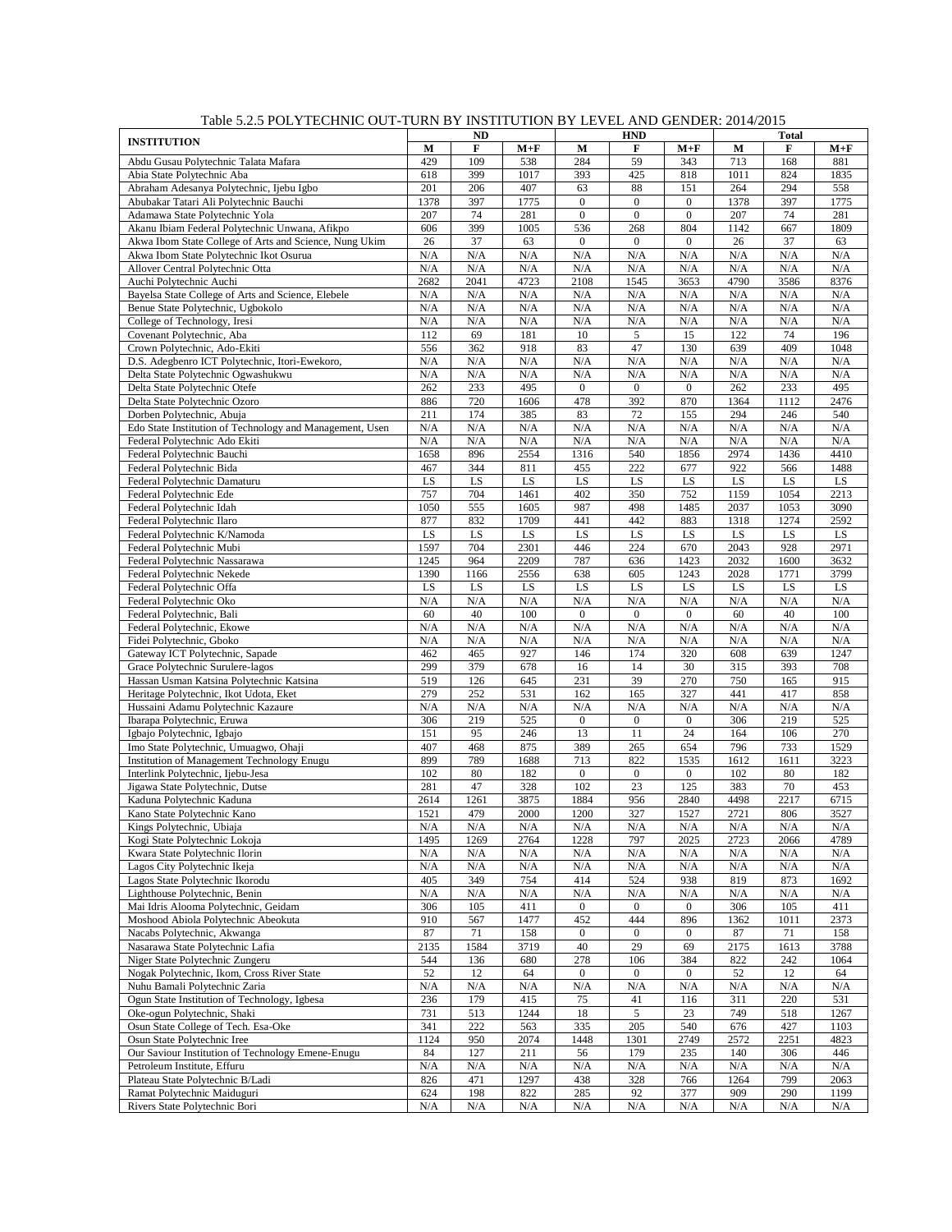|                                                                                  |              | <b>ND</b>   |              |                              | <b>HND</b>                     |                                      | <b>Total</b> |             |              |
|----------------------------------------------------------------------------------|--------------|-------------|--------------|------------------------------|--------------------------------|--------------------------------------|--------------|-------------|--------------|
| <b>INSTITUTION</b>                                                               | M            | F           | $M+F$        | M                            | F                              | $M+F$                                | M            | F           | $M+F$        |
| Abdu Gusau Polytechnic Talata Mafara                                             | 429          | 109         | 538          | 284                          | 59                             | 343                                  | 713          | 168         | 881          |
| Abia State Polytechnic Aba                                                       | 618          | 399         | 1017         | 393                          | 425                            | 818                                  | 1011         | 824         | 1835         |
| Abraham Adesanya Polytechnic, Ijebu Igbo                                         | 201          | 206         | 407          | 63                           | 88                             | 151                                  | 264          | 294         | 558          |
| Abubakar Tatari Ali Polytechnic Bauchi<br>Adamawa State Polytechnic Yola         | 1378<br>207  | 397<br>74   | 1775<br>281  | $\mathbf{0}$<br>$\mathbf{0}$ | $\mathbf{0}$<br>$\overline{0}$ | $\boldsymbol{0}$<br>$\boldsymbol{0}$ | 1378<br>207  | 397<br>74   | 1775<br>281  |
| Akanu Ibiam Federal Polytechnic Unwana, Afikpo                                   | 606          | 399         | 1005         | 536                          | 268                            | 804                                  | 1142         | 667         | 1809         |
| Akwa Ibom State College of Arts and Science, Nung Ukim                           | 26           | 37          | 63           | $\mathbf{0}$                 | $\mathbf{0}$                   | $\mathbf{0}$                         | 26           | 37          | 63           |
| Akwa Ibom State Polytechnic Ikot Osurua                                          | N/A          | N/A         | N/A          | N/A                          | N/A                            | N/A                                  | N/A          | N/A         | N/A          |
| Allover Central Polytechnic Otta                                                 | N/A          | N/A         | N/A          | N/A                          | $\rm N/A$                      | N/A                                  | N/A          | N/A         | N/A          |
| Auchi Polytechnic Auchi                                                          | 2682         | 2041        | 4723         | 2108                         | 1545                           | 3653                                 | 4790         | 3586        | 8376         |
| Bayelsa State College of Arts and Science, Elebele                               | N/A          | N/A         | N/A          | N/A                          | N/A                            | N/A                                  | N/A          | N/A         | N/A          |
| Benue State Polytechnic, Ugbokolo                                                | N/A          | N/A         | N/A          | N/A                          | N/A                            | N/A                                  | N/A          | N/A         | N/A          |
| College of Technology, Iresi                                                     | N/A          | N/A         | N/A          | N/A                          | N/A                            | N/A                                  | N/A          | N/A         | N/A          |
| Covenant Polytechnic, Aba                                                        | 112          | 69          | 181          | 10                           | 5                              | 15                                   | 122          | 74          | 196          |
| Crown Polytechnic, Ado-Ekiti                                                     | 556          | 362         | 918          | 83                           | 47                             | 130                                  | 639          | 409         | 1048         |
| D.S. Adegbenro ICT Polytechnic, Itori-Ewekoro,                                   | N/A<br>N/A   | N/A<br>N/A  | N/A<br>N/A   | N/A<br>N/A                   | N/A<br>N/A                     | N/A<br>N/A                           | N/A<br>N/A   | N/A<br>N/A  | N/A<br>N/A   |
| Delta State Polytechnic Ogwashukwu<br>Delta State Polytechnic Otefe              | 262          | 233         | 495          | $\boldsymbol{0}$             | $\mathbf{0}$                   | $\boldsymbol{0}$                     | 262          | 233         | 495          |
| Delta State Polytechnic Ozoro                                                    | 886          | 720         | 1606         | 478                          | 392                            | 870                                  | 1364         | 1112        | 2476         |
| Dorben Polytechnic, Abuja                                                        | 211          | 174         | 385          | 83                           | 72                             | 155                                  | 294          | 246         | 540          |
| Edo State Institution of Technology and Management, Usen                         | N/A          | N/A         | N/A          | N/A                          | N/A                            | N/A                                  | N/A          | N/A         | N/A          |
| Federal Polytechnic Ado Ekiti                                                    | N/A          | N/A         | N/A          | N/A                          | N/A                            | N/A                                  | N/A          | N/A         | N/A          |
| Federal Polytechnic Bauchi                                                       | 1658         | 896         | 2554         | 1316                         | 540                            | 1856                                 | 2974         | 1436        | 4410         |
| Federal Polytechnic Bida                                                         | 467          | 344         | 811          | 455                          | 222                            | 677                                  | 922          | 566         | 1488         |
| Federal Polytechnic Damaturu                                                     | LS           | LS          | LS           | LS                           | LS                             | LS                                   | LS           | LS          | LS           |
| Federal Polytechnic Ede                                                          | 757          | 704         | 1461         | 402                          | 350                            | 752                                  | 1159         | 1054        | 2213         |
| Federal Polytechnic Idah                                                         | 1050         | 555         | 1605         | 987                          | 498                            | 1485                                 | 2037         | 1053        | 3090         |
| Federal Polytechnic Ilaro                                                        | 877          | 832         | 1709         | 441                          | 442                            | 883                                  | 1318         | 1274        | 2592         |
| Federal Polytechnic K/Namoda                                                     | LS           | LS          | LS           | LS                           | LS                             | LS                                   | LS           | LS          | LS           |
| Federal Polytechnic Mubi                                                         | 1597         | 704         | 2301         | 446                          | 224                            | 670                                  | 2043         | 928         | 2971         |
| Federal Polytechnic Nassarawa                                                    | 1245         | 964         | 2209         | 787                          | 636                            | 1423                                 | 2032         | 1600        | 3632         |
| Federal Polytechnic Nekede                                                       | 1390         | 1166        | 2556         | 638                          | 605                            | 1243                                 | 2028         | 1771        | 3799         |
| Federal Polytechnic Offa<br>Federal Polytechnic Oko                              | LS<br>N/A    | LS<br>N/A   | LS<br>N/A    | LS<br>N/A                    | LS<br>N/A                      | LS<br>N/A                            | LS<br>N/A    | LS<br>N/A   | LS<br>N/A    |
| Federal Polytechnic, Bali                                                        | 60           | 40          | 100          | $\mathbf{0}$                 | $\mathbf{0}$                   | $\boldsymbol{0}$                     | 60           | 40          | 100          |
| Federal Polytechnic, Ekowe                                                       | N/A          | N/A         | N/A          | N/A                          | N/A                            | N/A                                  | N/A          | N/A         | N/A          |
| Fidei Polytechnic, Gboko                                                         | N/A          | N/A         | N/A          | N/A                          | N/A                            | N/A                                  | N/A          | N/A         | N/A          |
| Gateway ICT Polytechnic, Sapade                                                  | 462          | 465         | 927          | 146                          | 174                            | 320                                  | 608          | 639         | 1247         |
| Grace Polytechnic Surulere-lagos                                                 | 299          | 379         | 678          | 16                           | 14                             | 30                                   | 315          | 393         | 708          |
| Hassan Usman Katsina Polytechnic Katsina                                         | 519          | 126         | 645          | 231                          | 39                             | 270                                  | 750          | 165         | 915          |
| Heritage Polytechnic, Ikot Udota, Eket                                           | 279          | 252         | 531          | 162                          | 165                            | 327                                  | 441          | 417         | 858          |
| Hussaini Adamu Polytechnic Kazaure                                               | N/A          | N/A         | N/A          | N/A                          | N/A                            | N/A                                  | N/A          | N/A         | N/A          |
| Ibarapa Polytechnic, Eruwa                                                       | 306          | 219         | 525          | $\boldsymbol{0}$             | $\boldsymbol{0}$               | $\boldsymbol{0}$                     | 306          | 219         | 525          |
| Igbajo Polytechnic, Igbajo                                                       | 151          | 95          | 246          | 13                           | 11                             | 24                                   | 164          | 106         | 270          |
| Imo State Polytechnic, Umuagwo, Ohaji                                            | 407          | 468         | 875          | 389                          | 265                            | 654                                  | 796          | 733         | 1529         |
| <b>Institution of Management Technology Enugu</b>                                | 899          | 789         | 1688         | 713                          | 822                            | 1535                                 | 1612         | 1611        | 3223         |
| Interlink Polytechnic, Ijebu-Jesa                                                | 102          | 80          | 182          | $\mathbf{0}$                 | $\mathbf{0}$                   | $\overline{0}$                       | 102          | 80          | 182          |
| Jigawa State Polytechnic, Dutse                                                  | 281          | 47          | 328          | 102                          | 23                             | 125                                  | 383          | 70          | 453          |
| Kaduna Polytechnic Kaduna<br>Kano State Polytechnic Kano                         | 2614<br>1521 | 1261<br>479 | 3875<br>2000 | 1884<br>1200                 | 956<br>327                     | 2840<br>1527                         | 4498<br>2721 | 2217<br>806 | 6715<br>3527 |
| Kings Polytechnic, Ubiaja                                                        |              |             |              |                              |                                |                                      |              |             |              |
| Kogi State Polytechnic Lokoja                                                    | N/A<br>1495  | N/A<br>1269 | N/A<br>2764  | N/A<br>1228                  | N/A<br>797                     | N/A<br>2025                          | N/A<br>2723  | N/A<br>2066 | N/A<br>4789  |
| Kwara State Polytechnic Ilorin                                                   | N/A          | N/A         | N/A          | N/A                          | N/A                            | N/A                                  | N/A          | N/A         | N/A          |
| Lagos City Polytechnic Ikeja                                                     | N/A          | N/A         | N/A          | N/A                          | N/A                            | N/A                                  | N/A          | N/A         | N/A          |
| Lagos State Polytechnic Ikorodu                                                  | 405          | 349         | 754          | 414                          | 524                            | 938                                  | 819          | 873         | 1692         |
| Lighthouse Polytechnic, Benin                                                    | N/A          | N/A         | N/A          | N/A                          | N/A                            | N/A                                  | N/A          | N/A         | N/A          |
| Mai Idris Alooma Polytechnic, Geidam                                             | 306          | 105         | 411          | $\mathbf{0}$                 | $\overline{0}$                 | $\boldsymbol{0}$                     | 306          | 105         | 411          |
| Moshood Abiola Polytechnic Abeokuta                                              | 910          | 567         | 1477         | 452                          | 444                            | 896                                  | 1362         | 1011        | 2373         |
| Nacabs Polytechnic, Akwanga                                                      | 87           | 71          | 158          | $\boldsymbol{0}$             | $\boldsymbol{0}$               | $\boldsymbol{0}$                     | 87           | 71          | 158          |
| Nasarawa State Polytechnic Lafia                                                 | 2135         | 1584        | 3719         | 40                           | 29                             | 69                                   | 2175         | 1613        | 3788         |
| Niger State Polytechnic Zungeru                                                  | 544          | 136         | 680          | 278                          | 106                            | 384                                  | 822          | 242         | 1064         |
| Nogak Polytechnic, Ikom, Cross River State                                       | 52           | 12          | 64           | $\mathbf{0}$                 | $\overline{0}$                 | $\boldsymbol{0}$                     | 52           | 12          | 64           |
| Nuhu Bamali Polytechnic Zaria                                                    | N/A          | N/A         | N/A          | N/A                          | N/A                            | N/A                                  | N/A          | N/A         | N/A          |
| Ogun State Institution of Technology, Igbesa                                     | 236          | 179         | 415          | 75                           | 41                             | 116                                  | 311          | 220         | 531          |
| Oke-ogun Polytechnic, Shaki                                                      | 731          | 513         | 1244         | 18                           | 5                              | 23                                   | 749          | 518         | 1267         |
| Osun State College of Tech. Esa-Oke                                              | 341          | 222         | 563          | 335                          | 205                            | 540                                  | 676          | 427         | 1103         |
| Osun State Polytechnic Iree                                                      | 1124         | 950         | 2074         | 1448                         | 1301                           | 2749                                 | 2572         | 2251        | 4823         |
| Our Saviour Institution of Technology Emene-Enugu<br>Petroleum Institute, Effuru | 84<br>N/A    | 127<br>N/A  | 211          | 56<br>N/A                    | 179<br>N/A                     | 235                                  | 140          | 306<br>N/A  | 446<br>N/A   |
| Plateau State Polytechnic B/Ladi                                                 | 826          | 471         | N/A<br>1297  | 438                          | 328                            | N/A<br>766                           | N/A<br>1264  | 799         | 2063         |
| Ramat Polytechnic Maiduguri                                                      | 624          | 198         | 822          | 285                          | 92                             | 377                                  | 909          | 290         | 1199         |
| Rivers State Polytechnic Bori                                                    | N/A          | N/A         | N/A          | N/A                          | N/A                            | N/A                                  | N/A          | N/A         | N/A          |

Table 5.2.5 POLYTECHNIC OUT-TURN BY INSTITUTION BY LEVEL AND GENDER: 2014/2015